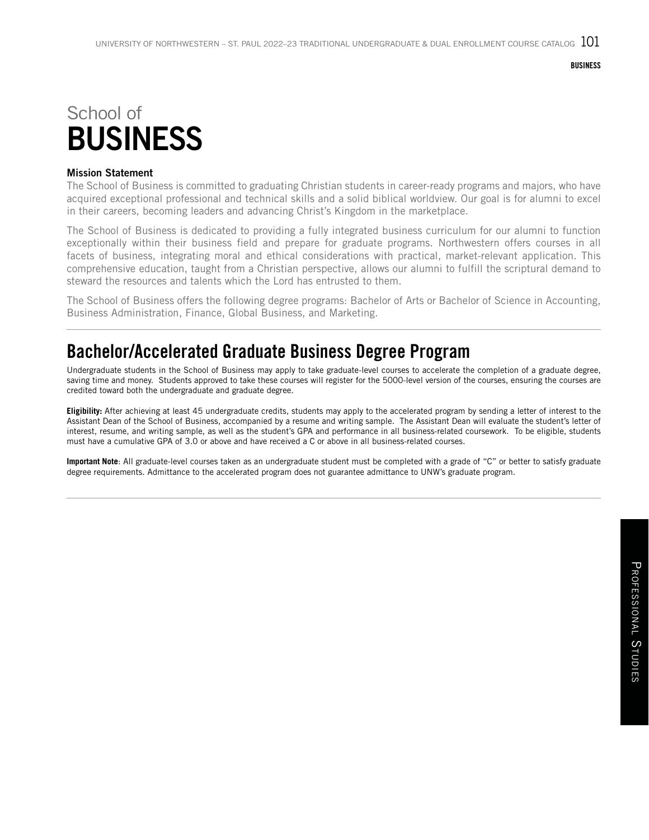# School of BUSINESS

#### Mission Statement

The School of Business is committed to graduating Christian students in career-ready programs and majors, who have acquired exceptional professional and technical skills and a solid biblical worldview. Our goal is for alumni to excel in their careers, becoming leaders and advancing Christ's Kingdom in the marketplace.

The School of Business is dedicated to providing a fully integrated business curriculum for our alumni to function exceptionally within their business field and prepare for graduate programs. Northwestern offers courses in all facets of business, integrating moral and ethical considerations with practical, market-relevant application. This comprehensive education, taught from a Christian perspective, allows our alumni to fulfill the scriptural demand to steward the resources and talents which the Lord has entrusted to them.

The School of Business offers the following degree programs: Bachelor of Arts or Bachelor of Science in Accounting, Business Administration, Finance, Global Business, and Marketing.

## Bachelor/Accelerated Graduate Business Degree Program

Undergraduate students in the School of Business may apply to take graduate-level courses to accelerate the completion of a graduate degree, saving time and money. Students approved to take these courses will register for the 5000-level version of the courses, ensuring the courses are credited toward both the undergraduate and graduate degree.

**Eligibility:** After achieving at least 45 undergraduate credits, students may apply to the accelerated program by sending a letter of interest to the Assistant Dean of the School of Business, accompanied by a resume and writing sample. The Assistant Dean will evaluate the student's letter of interest, resume, and writing sample, as well as the student's GPA and performance in all business-related coursework. To be eligible, students must have a cumulative GPA of 3.0 or above and have received a C or above in all business-related courses.

**Important Note**: All graduate-level courses taken as an undergraduate student must be completed with a grade of "C" or better to satisfy graduate degree requirements. Admittance to the accelerated program does not guarantee admittance to UNW's graduate program.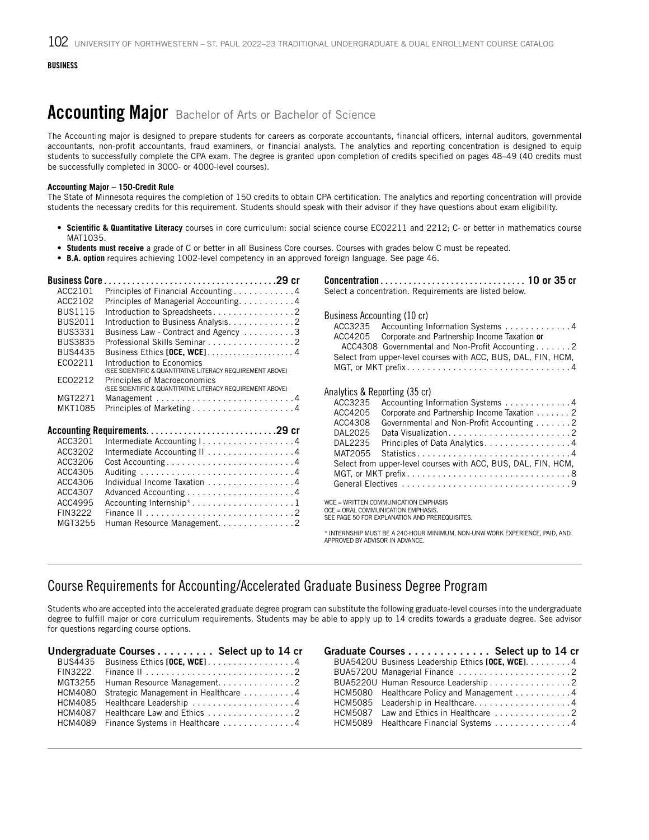## Accounting Major Bachelor of Arts or Bachelor of Science

The Accounting major is designed to prepare students for careers as corporate accountants, financial officers, internal auditors, governmental accountants, non-profit accountants, fraud examiners, or financial analysts. The analytics and reporting concentration is designed to equip students to successfully complete the CPA exam. The degree is granted upon completion of credits specified on pages 48–49 (40 credits must be successfully completed in 3000- or 4000-level courses).

#### **Accounting Major – 150-Credit Rule**

The State of Minnesota requires the completion of 150 credits to obtain CPA certification. The analytics and reporting concentration will provide students the necessary credits for this requirement. Students should speak with their advisor if they have questions about exam eligibility.

- **Scientific & Quantitative Literacy** courses in core curriculum: social science course ECO2211 and 2212; C- or better in mathematics course MAT1035.
- **Students must receive** a grade of C or better in all Business Core courses. Courses with grades below C must be repeated.
- **B.A. option** requires achieving 1002-level competency in an approved foreign language. See page 46.

| <b>Business Core</b> |                                                                                            |
|----------------------|--------------------------------------------------------------------------------------------|
| ACC2101              | Principles of Financial Accounting 4                                                       |
| ACC2102              | Principles of Managerial Accounting. 4                                                     |
| <b>BUS1115</b>       | Introduction to Spreadsheets2                                                              |
| <b>BUS2011</b>       | Introduction to Business Analysis. 2                                                       |
| <b>BUS3331</b>       | Business Law - Contract and Agency 3                                                       |
| <b>BUS3835</b>       | Professional Skills Seminar 2                                                              |
| <b>BUS4435</b>       | Business Ethics [OCE, WCE]4                                                                |
| EC02211              | Introduction to Economics                                                                  |
|                      | (SEE SCIENTIFIC & QUANTITATIVE LITERACY REQUIREMENT ABOVE)                                 |
| EC02212              | Principles of Macroeconomics<br>(SEE SCIENTIFIC & QUANTITATIVE LITERACY REQUIREMENT ABOVE) |
| MGT2271              | Management $\dots\dots\dots\dots\dots\dots\dots\dots\dots\dots$                            |
| MKT1085              |                                                                                            |
|                      |                                                                                            |
|                      |                                                                                            |
| ACC3201              |                                                                                            |
| ACC3202              | Intermediate Accounting I4                                                                 |
|                      | Intermediate Accounting II 4                                                               |
| ACC3206              | Cost Accounting4                                                                           |
| ACC4305<br>ACC4306   |                                                                                            |
|                      | Individual Income Taxation 4                                                               |
| ACC4307<br>ACC4995   |                                                                                            |
|                      | Accounting Internship*1                                                                    |
| FIN3222              |                                                                                            |
| MGT3255              | Human Resource Management. 2                                                               |
|                      |                                                                                            |

|                                                                                                 | Select a concentration. Requirements are listed below.                                                                                                                                                                                       |
|-------------------------------------------------------------------------------------------------|----------------------------------------------------------------------------------------------------------------------------------------------------------------------------------------------------------------------------------------------|
| Business Accounting (10 cr)                                                                     | ACC3235 Accounting Information Systems 4<br>ACC4205 Corporate and Partnership Income Taxation or<br>ACC4308 Governmental and Non-Profit Accounting 2<br>Select from upper-level courses with ACC, BUS, DAL, FIN, HCM,<br>MGT, or MKT prefix4 |
| Analytics & Reporting (35 cr)<br>ACC3235<br>ACC4205<br>ACC4308<br>DAL2025<br>DAL2235<br>MAT2055 | Accounting Information Systems 4<br>Corporate and Partnership Income Taxation 2<br>Governmental and Non-Profit Accounting 2<br>Principles of Data Analytics4<br>Statistics4<br>Select from upper-level courses with ACC, BUS, DAL, FIN, HCM, |
| WCE = WRITTEN COMMUNICATION EMPHASIS<br>OCE = ORAL COMMUNICATION EMPHASIS                       |                                                                                                                                                                                                                                              |

OCE = ORAL COMMUNICATION EMPHASIS. SEE PAGE 50 FOR EXPLANATION AND PREREQUISITES.

\* INTERNSHIP MUST BE A 240-HOUR MINIMUM, NON-UNW WORK EXPERIENCE, PAID, AND APPROVED BY ADVISOR IN ADVANCE.

### Course Requirements for Accounting/Accelerated Graduate Business Degree Program

Students who are accepted into the accelerated graduate degree program can substitute the following graduate-level courses into the undergraduate degree to fulfill major or core curriculum requirements. Students may be able to apply up to 14 credits towards a graduate degree. See advisor for questions regarding course options.

| Undergraduate Courses Select up to 14 cr                                            |
|-------------------------------------------------------------------------------------|
| BUS4435 Business Ethics [OCE, WCE] 4                                                |
| FIN3222 Finance II $\ldots \ldots \ldots \ldots \ldots \ldots \ldots \ldots \ldots$ |
| MGT3255 Human Resource Management2                                                  |
| HCM4080 Strategic Management in Healthcare 4                                        |
| HCM4085 Healthcare Leadership 4                                                     |
| HCM4087 Healthcare Law and Ethics 2                                                 |
| HCM4089 Finance Systems in Healthcare 4                                             |
|                                                                                     |

| Graduate Courses Select up to 14 cr               |
|---------------------------------------------------|
| BUA5420U Business Leadership Ethics [OCE, WCE]. 4 |
| BUA5720U Managerial Finance 2                     |
| BUA5220U Human Resource Leadership 2              |
| HCM5080 Healthcare Policy and Management 4        |
| HCM5085 Leadership in Healthcare. 4               |
| HCM5087 Law and Ethics in Healthcare 2            |
| HCM5089 Healthcare Financial Systems 4            |
|                                                   |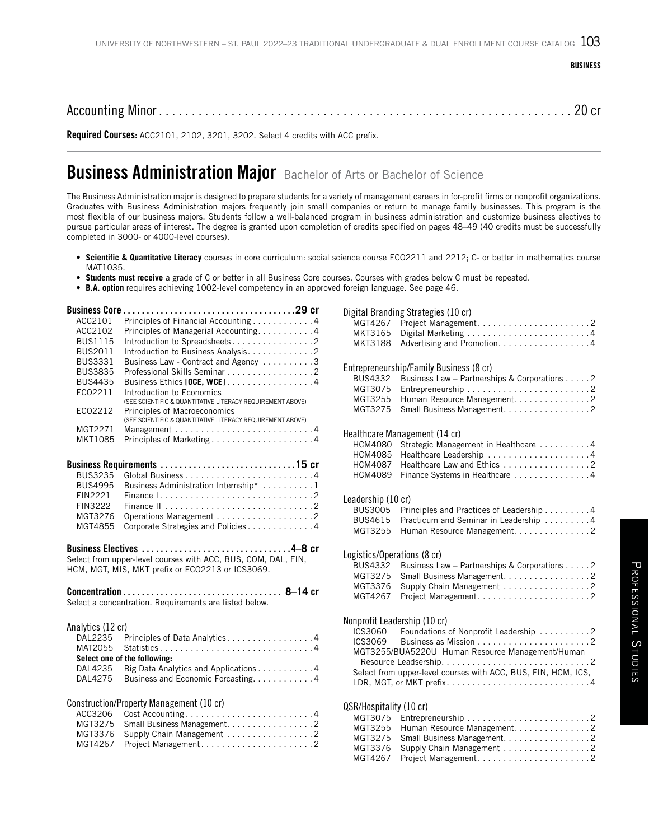Accounting Minor . . . . . . . . . . . . . . . . . . . . . . . . . . . . . . . . . . . . . . . . . . . . . . . . . . . . . . . . . . . . . . . 20 cr

Required Courses: ACC2101, 2102, 3201, 3202. Select 4 credits with ACC prefix.

## **Business Administration Major** Bachelor of Arts or Bachelor of Science

The Business Administration major is designed to prepare students for a variety of management careers in for-profit firms or nonprofit organizations. Graduates with Business Administration majors frequently join small companies or return to manage family businesses. This program is the most flexible of our business majors. Students follow a well-balanced program in business administration and customize business electives to pursue particular areas of interest. The degree is granted upon completion of credits specified on pages 48–49 (40 credits must be successfully completed in 3000- or 4000-level courses).

- **Scientific & Quantitative Literacy** courses in core curriculum: social science course ECO2211 and 2212; C- or better in mathematics course MAT1035.
- **Students must receive** a grade of C or better in all Business Core courses. Courses with grades below C must be repeated.
- **B.A. option** requires achieving 1002-level competency in an approved foreign language. See page 46.

| ACC2101           | Principles of Financial Accounting 4                                                                                                           |
|-------------------|------------------------------------------------------------------------------------------------------------------------------------------------|
| ACC2102           | Principles of Managerial Accounting. 4                                                                                                         |
| <b>BUS1115</b>    | Introduction to Spreadsheets2                                                                                                                  |
| <b>BUS2011</b>    | Introduction to Business Analysis. 2                                                                                                           |
| <b>BUS3331</b>    | Business Law - Contract and Agency 3                                                                                                           |
| <b>BUS3835</b>    | Professional Skills Seminar 2                                                                                                                  |
| <b>BUS4435</b>    | Business Ethics [OCE, WCE] 4                                                                                                                   |
| EC02211           | Introduction to Economics<br>(SEE SCIENTIFIC & QUANTITATIVE LITERACY REQUIREMENT ABOVE)                                                        |
| EC02212           | Principles of Macroeconomics<br>(SEE SCIENTIFIC & QUANTITATIVE LITERACY REQUIREMENT ABOVE)                                                     |
| MGT2271           |                                                                                                                                                |
| MKT1085           | Principles of Marketing4                                                                                                                       |
|                   |                                                                                                                                                |
| <b>BUS3235</b>    |                                                                                                                                                |
| <b>BUS4995</b>    | Business Administration Internship* 1                                                                                                          |
| <b>FIN2221</b>    |                                                                                                                                                |
| <b>FIN3222</b>    |                                                                                                                                                |
| MGT3276           |                                                                                                                                                |
| MGT4855           | Corporate Strategies and Policies4                                                                                                             |
|                   | Business Electives 4-8 cr<br>Select from upper-level courses with ACC, BUS, COM, DAL, FIN,<br>HCM, MGT, MIS, MKT prefix or ECO2213 or ICS3069. |
|                   | Select a concentration. Requirements are listed below.                                                                                         |
| Analytics (12 cr) |                                                                                                                                                |
| DAL2235           | Principles of Data Analytics. 4                                                                                                                |
| MAT2055           | Statistics4                                                                                                                                    |
|                   | Select one of the following:                                                                                                                   |
| DAL4235           | Big Data Analytics and Applications 4                                                                                                          |
| DAL4275           | Business and Economic Forcasting. 4                                                                                                            |
|                   |                                                                                                                                                |
|                   | Construction/Property Management (10 cr)                                                                                                       |
| ACC3206           | Cost Accounting4                                                                                                                               |
| MGT3275           | Small Business Management. 2                                                                                                                   |
| MGT3376           | Supply Chain Management 2                                                                                                                      |
| MGT4267           |                                                                                                                                                |

Digital Branding Strategies (10 cr) MGT4267 Project Management............................2 MKT3165 Digital Marketing. . 4 MKT3188 Advertising and Promotion. . . . . . . . . . . . . . . . 4 Entrepreneurship/Family Business (8 cr) Business Law – Partnerships & Corporations. . . . . 2 MGT3075 Entrepreneurship. . 2 MGT3255 Human Resource Management. . . . . . . . . . . . . . 2 MGT3275 Small Business Management. . . . . . . . . . . . . . . . 2 Healthcare Management (14 cr) HCM4080 Strategic Management in Healthcare ...........4<br>HCM4085 Healthcare Leadership ...........................4 HCM4085 Healthcare Leadership. . 4 HCM4087 Healthcare Law and Ethics . . . . . . . . . . . . . . . . 2 HCM4089 Finance Systems in Healthcare . . . . . . . . . . . . . . 4 Leadership (10 cr)<br>BUS3005 Pri Principles and Practices of Leadership. . . . . . . . . 4 BUS4615 Practicum and Seminar in Leadership . . . . . . . . 4 MGT3255 Human Resource Management. . . . . . . . . . . . . . 2 Logistics/Operations (8 cr)  $BUS4332$  Business Law – Partnerships & Corporations . . . . . 2 MGT3275 Small Business Management. . . . . . . . . . . . . . . . 2 MGT3376 Supply Chain Management . . . . . . . . . . . . . . . . 2 MGT4267 Project Management..............................2 Nonprofit Leadership (10 cr)  $ICS3060$  Foundations of Nonprofit Leadership $\ldots \ldots \ldots 2$ ICS3069 Business as Mission. . 2 MGT3255/BUA5220U Human Resource Management/Human Resource Leadsership. . 2 Select from upper-level courses with ACC, BUS, FIN, HCM, ICS, LDR, MGT, or MKT prefix. . 4 QSR/Hospitality (10 cr)<br>MGT3075 Entrepre MGT3075 Entrepreneurship ..............................2<br>MGT3255 Human Resource Management.................2 Human Resource Management. . . . . . . . . . . . . . 2 MGT3275 Small Business Management. . . . . . . . . . . . . . . . 2 MGT3376 Supply Chain Management. . 2 MGT4267 Project Management. . 2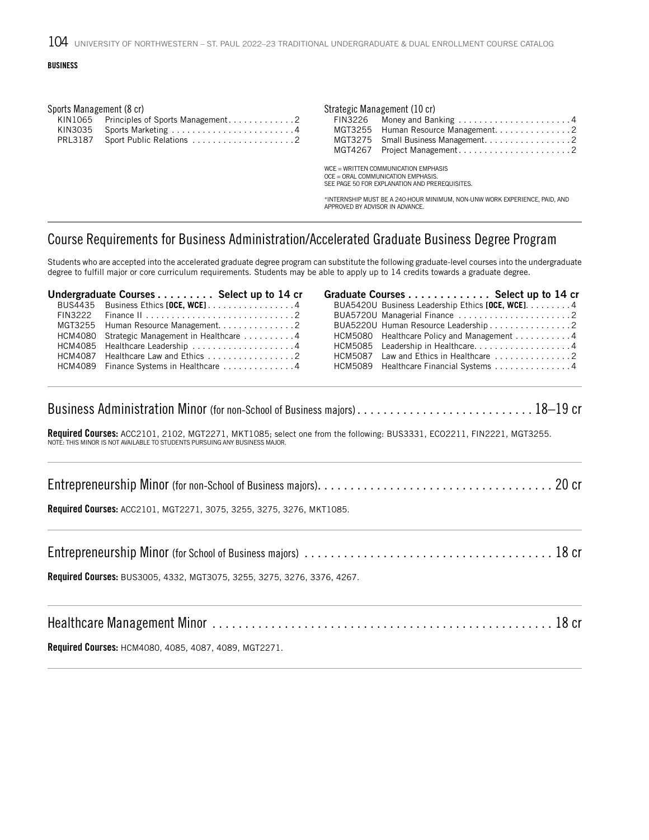| Sports Management (8 cr) |  | Strategic Management (10 cr)                   |
|--------------------------|--|------------------------------------------------|
|                          |  | FIN3226 Money and Banking 4                    |
|                          |  | MGT3255 Human Resource Management2             |
|                          |  |                                                |
|                          |  |                                                |
|                          |  | WCE = WRITTEN COMMUNICATION EMPHASIS           |
|                          |  | OCE = ORAL COMMUNICATION EMPHASIS.             |
|                          |  | SEE PAGE 50 FOR EXPLANATION AND PREREQUISITES. |

\*INTERNSHIP MUST BE A 240-HOUR MINIMUM, NON-UNW WORK EXPERIENCE, PAID, AND APPROVED BY ADVISOR IN ADVANCE.

#### Course Requirements for Business Administration/Accelerated Graduate Business Degree Program

Students who are accepted into the accelerated graduate degree program can substitute the following graduate-level courses into the undergraduate degree to fulfill major or core curriculum requirements. Students may be able to apply up to 14 credits towards a graduate degree.

| Undergraduate Courses Select up to 14 cr     |  | Graduate Courses Select up to 14 cr               |  |
|----------------------------------------------|--|---------------------------------------------------|--|
| BUS4435 Business Ethics [OCE, WCE] 4         |  | BUA5420U Business Leadership Ethics [OCE, WCE]. 4 |  |
|                                              |  |                                                   |  |
|                                              |  | BUA5220U Human Resource Leadership 2              |  |
| HCM4080 Strategic Management in Healthcare 4 |  | HCM5080 Healthcare Policy and Management 4        |  |
| HCM4085 Healthcare Leadership 4              |  | HCM5085 Leadership in Healthcare4                 |  |
|                                              |  |                                                   |  |
| HCM4089 Finance Systems in Healthcare 4      |  | HCM5089 Healthcare Financial Systems 4            |  |
|                                              |  |                                                   |  |

Business Administration Minor (for non-School of Business majors).................................. 18–19 cr

**Required Courses:** ACC2101, 2102, MGT2271, MKT1085; select one from the following: BUS3331, ECO2211, FIN2221, MGT3255.<br>NOTE: THIS MINOR IS NOT AVAILABLE TO STUDENTS PURSUING ANY BUSINESS MAJOR.

| Required Courses: ACC2101, MGT2271, 3075, 3255, 3275, 3276, MKT1085.    |  |
|-------------------------------------------------------------------------|--|
|                                                                         |  |
| Required Courses: BUS3005, 4332, MGT3075, 3255, 3275, 3276, 3376, 4267. |  |
|                                                                         |  |

Healthcare Management Minor . . . . . . . . . . . . . . . . . . . . . . . . . . . . . . . . . . . . . . . . . . . . . . . . . . . . 18 cr

Required Courses: HCM4080, 4085, 4087, 4089, MGT2271.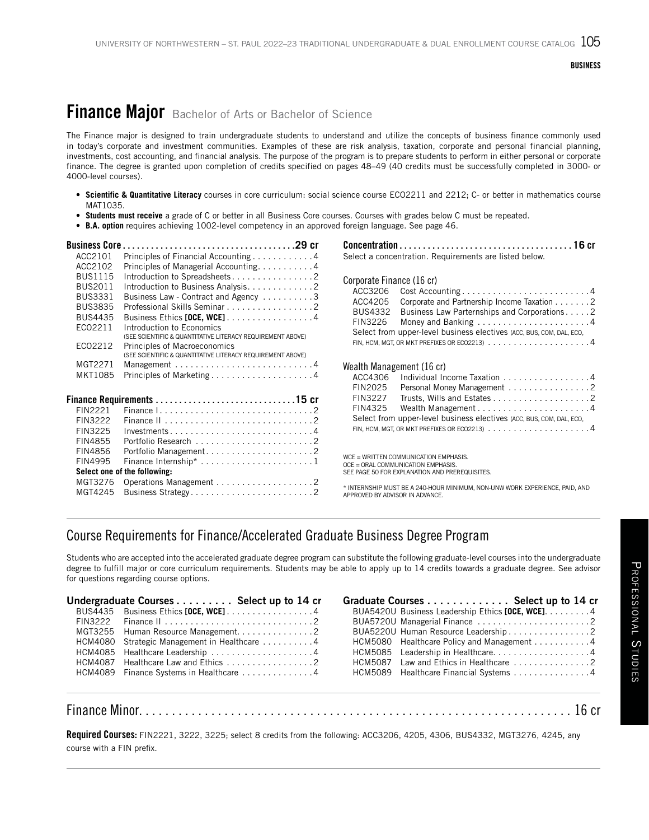## Finance Major Bachelor of Arts or Bachelor of Science

The Finance major is designed to train undergraduate students to understand and utilize the concepts of business finance commonly used in today's corporate and investment communities. Examples of these are risk analysis, taxation, corporate and personal financial planning, investments, cost accounting, and financial analysis. The purpose of the program is to prepare students to perform in either personal or corporate finance. The degree is granted upon completion of credits specified on pages 48–49 (40 credits must be successfully completed in 3000- or 4000-level courses).

- **Scientific & Quantitative Literacy** courses in core curriculum: social science course ECO2211 and 2212; C- or better in mathematics course MAT1035.
- **Students must receive** a grade of C or better in all Business Core courses. Courses with grades below C must be repeated.
- **B.A. option** requires achieving 1002-level competency in an approved foreign language. See page 46.

| <b>Business Core</b> |                                                            |
|----------------------|------------------------------------------------------------|
| ACC2101              | Principles of Financial Accounting 4                       |
| ACC2102              | Principles of Managerial Accounting. 4                     |
| <b>BUS1115</b>       | Introduction to Spreadsheets2                              |
| <b>BUS2011</b>       | Introduction to Business Analysis2                         |
| <b>BUS3331</b>       | Business Law - Contract and Agency 3                       |
| <b>BUS3835</b>       | Professional Skills Seminar 2                              |
| <b>BUS4435</b>       | Business Ethics [OCE, WCE]4                                |
| EC02211              | Introduction to Economics                                  |
|                      | (SEE SCIENTIFIC & QUANTITATIVE LITERACY REQUIREMENT ABOVE) |
| EC02212              | Principles of Macroeconomics                               |
|                      | (SEE SCIENTIFIC & QUANTITATIVE LITERACY REQUIREMENT ABOVE) |
| MGT2271              |                                                            |
| MKT1085              | Principles of Marketing4                                   |
|                      |                                                            |
|                      |                                                            |
| FIN2221              |                                                            |
| FIN3222              |                                                            |
| FIN3225              | Investments4                                               |
| FIN4855              |                                                            |
| FIN4856              |                                                            |
| FIN4995              |                                                            |
|                      | Select one of the following:                               |
| MGT3276              |                                                            |

MGT4245 Business Strategy.................................2

Concentration. . **16** cr Select a concentration. Requirements are listed below.

Corporate Finance (16 cr)

| ACC3206                   |                                                                                               |
|---------------------------|-----------------------------------------------------------------------------------------------|
| ACC4205                   | Corporate and Partnership Income Taxation 2                                                   |
| <b>BUS4332</b>            | Business Law Parternships and Corporations2                                                   |
| FIN3226                   | Money and Banking $\dots\dots\dots\dots\dots\dots\dots$                                       |
|                           | Select from upper-level business electives (ACC, BUS, COM, DAL, ECO,                          |
|                           | FIN, HCM, MGT, OR MKT PREFIXES OR ECO2213) $\ldots \ldots \ldots \ldots \ldots \ldots \ldots$ |
|                           |                                                                                               |
| Wealth Management (16 cr) |                                                                                               |
|                           |                                                                                               |

|         | ACC4306 Individual Income Taxation 4                                                                 |
|---------|------------------------------------------------------------------------------------------------------|
| FIN2025 | Personal Money Management 2                                                                          |
| FIN3227 |                                                                                                      |
|         |                                                                                                      |
|         | Select from upper-level business electives (ACC, BUS, COM, DAL, ECO,                                 |
|         | FIN, HCM, MGT, OR MKT PREFIXES OR ECO2213) $\ldots \ldots \ldots \ldots \ldots \ldots \ldots \ldots$ |

WCE = WRITTEN COMMUNICATION EMPHASIS. OCE = ORAL COMMUNICATION EMPHASIS. SEE PAGE 50 FOR EXPLANATION AND PREREQUISITES.

\* INTERNSHIP MUST BE A 240-HOUR MINIMUM, NON-UNW WORK EXPERIENCE, PAID, AND APPROVED BY ADVISOR IN ADVANCE.

### Course Requirements for Finance/Accelerated Graduate Business Degree Program

Students who are accepted into the accelerated graduate degree program can substitute the following graduate-level courses into the undergraduate degree to fulfill major or core curriculum requirements. Students may be able to apply up to 14 credits towards a graduate degree. See advisor for questions regarding course options.

| Undergraduate Courses Select up to 14 cr     | Graduate Courses Select up to 14 cr                                  |  |
|----------------------------------------------|----------------------------------------------------------------------|--|
| BUS4435 Business Ethics [OCE, WCE]. 4        | BUA5420U Business Leadership Ethics [OCE, WCE]. 4                    |  |
|                                              |                                                                      |  |
|                                              | BUA5220U Human Resource Leadership 2                                 |  |
| HCM4080 Strategic Management in Healthcare 4 | HCM5080 Healthcare Policy and Management 4                           |  |
|                                              | HCM5085 Leadership in Healthcare4                                    |  |
|                                              | $HCM5087$ Law and Ethics in Healthcare $\ldots \ldots \ldots \ldots$ |  |
| HCM4089 Finance Systems in Healthcare 4      | HCM5089 Healthcare Financial Systems 4                               |  |
|                                              |                                                                      |  |

#### Finance Minor.................................................................. 16 cr

Required Courses: FIN2221, 3222, 3225; select 8 credits from the following: ACC3206, 4205, 4306, BUS4332, MGT3276, 4245, any course with a FIN prefix.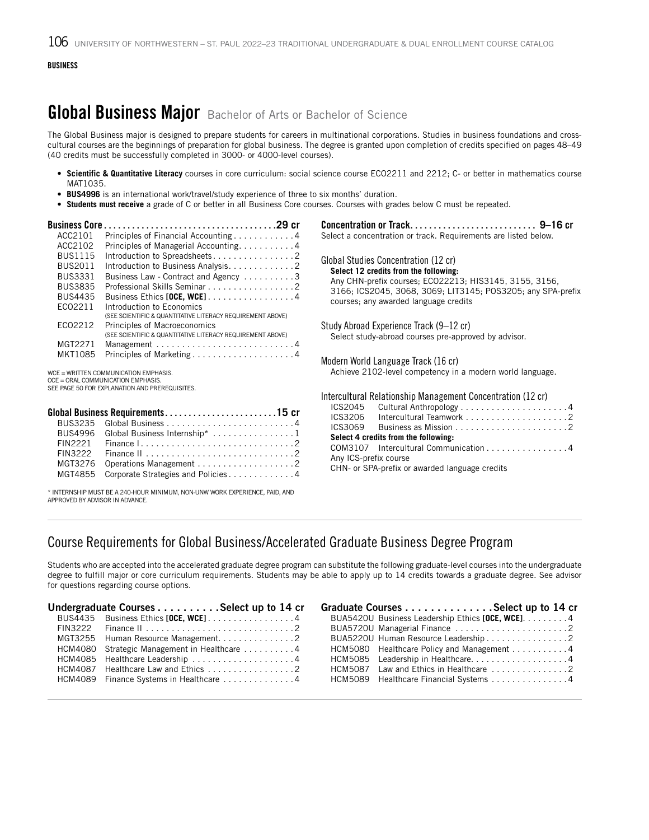## **Global Business Major** Bachelor of Arts or Bachelor of Science

The Global Business major is designed to prepare students for careers in multinational corporations. Studies in business foundations and crosscultural courses are the beginnings of preparation for global business. The degree is granted upon completion of credits specified on pages 48–49 (40 credits must be successfully completed in 3000- or 4000-level courses).

- **Scientific & Quantitative Literacy** courses in core curriculum: social science course ECO2211 and 2212; C- or better in mathematics course MAT1035.
- **BUS4996** is an international work/travel/study experience of three to six months' duration.
- **Students must receive** a grade of C or better in all Business Core courses. Courses with grades below C must be repeated.

| <b>Business Core</b>                  |                                                                                            |                                                                            |  |
|---------------------------------------|--------------------------------------------------------------------------------------------|----------------------------------------------------------------------------|--|
| ACC2101                               | Principles of Financial Accounting 4                                                       | Select a concentration or track. Requirements are listed below.            |  |
| ACC2102                               | Principles of Managerial Accounting4                                                       |                                                                            |  |
| <b>BUS1115</b>                        | Introduction to Spreadsheets2                                                              | Global Studies Concentration (12 cr)                                       |  |
| <b>BUS2011</b>                        | Introduction to Business Analysis. 2                                                       | Select 12 credits from the following:                                      |  |
| <b>BUS3331</b>                        | Business Law - Contract and Agency 3                                                       | Any CHN-prefix courses; ECO22213; HIS3145, 3155, 3156,                     |  |
| <b>BUS3835</b>                        | Professional Skills Seminar 2                                                              | 3166; ICS2045, 3068, 3069; LIT3145; POS3205; any SPA-prefix                |  |
| <b>BUS4435</b>                        | Business Ethics [OCE, WCE]4                                                                | courses; any awarded language credits                                      |  |
| EC02211                               | Introduction to Economics                                                                  |                                                                            |  |
|                                       | (SEE SCIENTIFIC & QUANTITATIVE LITERACY REQUIREMENT ABOVE)                                 |                                                                            |  |
| EC02212                               | Principles of Macroeconomics<br>(SEE SCIENTIFIC & QUANTITATIVE LITERACY REQUIREMENT ABOVE) | Study Abroad Experience Track (9–12 cr)                                    |  |
| MGT2271                               |                                                                                            | Select study-abroad courses pre-approved by advisor.                       |  |
| MKT1085                               | Principles of Marketing4                                                                   |                                                                            |  |
|                                       |                                                                                            | Modern World Language Track (16 cr)                                        |  |
| WCE = WRITTEN COMMUNICATION EMPHASIS. |                                                                                            | Achieve 2102-level competency in a modern world language.                  |  |
|                                       | OCE = ORAL COMMUNICATION EMPHASIS.<br>SEE PAGE 50 FOR EXPLANATION AND PREREQUISITES.       |                                                                            |  |
|                                       |                                                                                            | Intercultural Relationship Management Concentration (12 cr)                |  |
|                                       |                                                                                            | ICS2045                                                                    |  |
|                                       | Global Business Requirements15 cr                                                          | ICS3206                                                                    |  |
| <b>BUS3235</b>                        |                                                                                            | ICS3069<br>Business as Mission $\ldots \ldots \ldots \ldots \ldots \ldots$ |  |
| <b>BUS4996</b>                        | Global Business Internship* 1                                                              | Select 4 credits from the following:                                       |  |
| FIN2221                               |                                                                                            | Intercultural Communication 4<br>COM3107                                   |  |
| FIN3222                               |                                                                                            | Any ICS-prefix course                                                      |  |

\* INTERNSHIP MUST BE A 240-HOUR MINIMUM, NON-UNW WORK EXPERIENCE, PAID, AND APPROVED BY ADVISOR IN ADVANCE.

MGT3276 Operations Management . . . . . . . . . . . . . . . . . . 2 MGT4855 Corporate Strategies and Policies.............4

| Itercultural Relationship Management Concentration (12 cr) |                                                                 |  |  |  |
|------------------------------------------------------------|-----------------------------------------------------------------|--|--|--|
|                                                            | ICS2045 Cultural Anthropology 4                                 |  |  |  |
|                                                            |                                                                 |  |  |  |
| ICS3069                                                    | Business as Mission $\ldots \ldots \ldots \ldots \ldots \ldots$ |  |  |  |
| Select 4 credits from the following:                       |                                                                 |  |  |  |
|                                                            | COM3107 Intercultural Communication 4                           |  |  |  |
| Any ICS-prefix course                                      |                                                                 |  |  |  |
| CHN- or SPA-prefix or awarded language credits             |                                                                 |  |  |  |
|                                                            |                                                                 |  |  |  |

### Course Requirements for Global Business/Accelerated Graduate Business Degree Program

Students who are accepted into the accelerated graduate degree program can substitute the following graduate-level courses into the undergraduate degree to fulfill major or core curriculum requirements. Students may be able to apply up to 14 credits towards a graduate degree. See advisor for questions regarding course options.

| Undergraduate Courses Select up to 14 cr                                 |  | Graduate Courses Select up to 14 cr                                  |  |
|--------------------------------------------------------------------------|--|----------------------------------------------------------------------|--|
| BUS4435 Business Ethics [OCE, WCE]. 4                                    |  | BUA5420U Business Leadership Ethics [OCE, WCE]. 4                    |  |
|                                                                          |  |                                                                      |  |
|                                                                          |  | BUA5220U Human Resource Leadership 2                                 |  |
| HCM4080 Strategic Management in Healthcare 4                             |  | HCM5080 Healthcare Policy and Management 4                           |  |
| HCM4085 Healthcare Leadership 4                                          |  | HCM5085 Leadership in Healthcare4                                    |  |
| $HCM4087$ Healthcare Law and Ethics $\ldots \ldots \ldots \ldots \ldots$ |  | $HCM5087$ Law and Ethics in Healthcare $\ldots \ldots \ldots \ldots$ |  |
| HCM4089 Finance Systems in Healthcare 4                                  |  | HCM5089 Healthcare Financial Systems 4                               |  |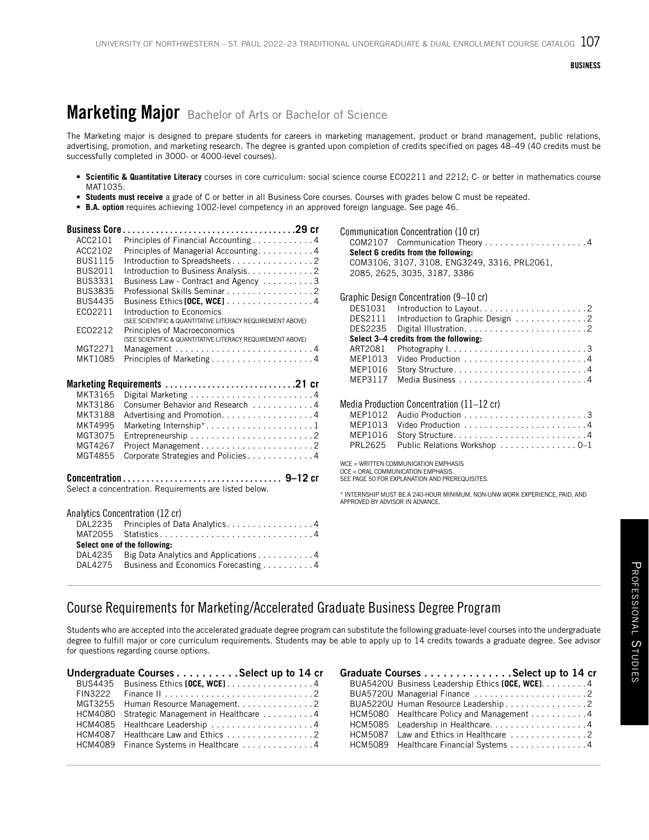## **Marketing Major** Bachelor of Arts or Bachelor of Science

The Marketing major is designed to prepare students for careers in marketing management, product or brand management, public relations, advertising, promotion, and marketing research. The degree is granted upon completion of credits specified on pages 48–49 (40 credits must be successfully completed in 3000- or 4000-level courses).

- **Scientific & Quantitative Literacy** courses in core curriculum: social science course ECO2211 and 2212; C- or better in mathematics course MAT1035.
- **Students must receive** a grade of C or better in all Business Core courses. Courses with grades below C must be repeated.
- **B.A. option** requires achieving 1002-level competency in an approved foreign language. See page 46.

| ACC2101        | Principles of Financial Accounting 4                                 |
|----------------|----------------------------------------------------------------------|
| ACC2102        | Principles of Managerial Accounting. 4                               |
| <b>BUS1115</b> | Introduction to Spreadsheets2                                        |
| <b>BUS2011</b> | Introduction to Business Analysis. 2                                 |
| <b>BUS3331</b> | Business Law - Contract and Agency 3                                 |
| <b>BUS3835</b> | Professional Skills Seminar 2                                        |
| <b>BUS4435</b> | Business Ethics <b>[OCE, WCE]</b> 4                                  |
| EC02211        | Introduction to Economics                                            |
|                | (SEE SCIENTIFIC & QUANTITATIVE LITERACY REQUIREMENT ABOVE)           |
| EC02212        | Principles of Macroeconomics                                         |
|                | (SEE SCIENTIFIC & QUANTITATIVE LITERACY REQUIREMENT ABOVE)           |
| MGT2271        | Management $\ldots \ldots \ldots \ldots \ldots \ldots \ldots \ldots$ |
| MKT1085        |                                                                      |
|                |                                                                      |
|                |                                                                      |
| MKT3165        |                                                                      |
| MKT3186        | Consumer Behavior and Research 4                                     |
| <b>MKT3188</b> | Advertising and Promotion. 4                                         |
| MKT4995        | Marketing Internship*1                                               |
| MGT3075        |                                                                      |
| MGT4267        | Project Management2                                                  |
| MGT4855        | Corporate Strategies and Policies4                                   |
|                |                                                                      |
|                |                                                                      |
|                | Select a concentration. Requirements are listed below.               |
|                |                                                                      |
|                | Analytics Concentration (12 cr)                                      |
| DAL2235        | Principles of Data Analytics4                                        |
| MAT2055        | Statistics4                                                          |
|                | Select one of the following:                                         |
| DAL4235        | Big Data Analytics and Applications 4                                |
| DAL4275        | Business and Economics Forecasting 4                                 |

Communication Concentration (10 cr) COM2107 Communication Theory. . 4 **Select 6 credits from the following:** COM3106, 3107, 3108, ENG3249, 3316, PRL2061, 2085, 2625, 3035, 3187, 3386

|                | Graphic Design Concentration (9–10 cr)    |
|----------------|-------------------------------------------|
| DES1031        | Introduction to Layout2                   |
| <b>DES2111</b> | Introduction to Graphic Design 2          |
| DES2235        |                                           |
|                | Select 3-4 credits from the following:    |
| ART2081        |                                           |
| MEP1013        |                                           |
| MEP1016        |                                           |
| MEP3117        |                                           |
|                |                                           |
|                | Media Production Concentration (11–12 cr) |
| MFP1012        |                                           |
| MEP1013        |                                           |
| MEP1016        |                                           |
| <b>PRL2625</b> | Public Relations Workshop 0-1             |

WCE = WRITTEN COMMUNICATION EMPHASIS

OCE = ORAL COMMUNICATION EMPHASIS.

SEE PAGE 50 FOR EXPLANATION AND PREREQUISITES.

\* INTERNSHIP MUST BE A 240-HOUR MINIMUM, NON-UNW WORK EXPERIENCE, PAID, AND APPROVED BY ADVISOR IN ADVANCE.

### Course Requirements for Marketing/Accelerated Graduate Business Degree Program

Students who are accepted into the accelerated graduate degree program can substitute the following graduate-level courses into the undergraduate degree to fulfill major or core curriculum requirements. Students may be able to apply up to 14 credits towards a graduate degree. See advisor for questions regarding course options.

| Undergraduate Courses Select up to 14 cr     | Graduate Courses Select up to 14 cr                                  |  |
|----------------------------------------------|----------------------------------------------------------------------|--|
| BUS4435 Business Ethics [OCE, WCE]4          | BUA5420U Business Leadership Ethics [OCE, WCE]. 4                    |  |
|                                              | BUA5720U Managerial Finance 2                                        |  |
|                                              | BUA5220U Human Resource Leadership 2                                 |  |
| HCM4080 Strategic Management in Healthcare 4 | HCM5080 Healthcare Policy and Management 4                           |  |
| HCM4085 Healthcare Leadership 4              | HCM5085 Leadership in Healthcare4                                    |  |
|                                              | $HCM5087$ Law and Ethics in Healthcare $\ldots \ldots \ldots \ldots$ |  |
| HCM4089 Finance Systems in Healthcare 4      | HCM5089 Healthcare Financial Systems 4                               |  |